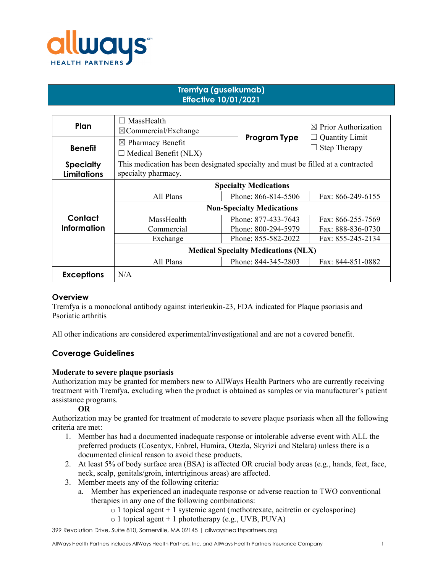

# **Tremfya (guselkumab) Effective 10/01/2021**

| Plan               | MassHealth<br>$\boxtimes$ Commercial/Exchange                                    |                     | $\boxtimes$ Prior Authorization |
|--------------------|----------------------------------------------------------------------------------|---------------------|---------------------------------|
| <b>Benefit</b>     | $\boxtimes$ Pharmacy Benefit                                                     | <b>Program Type</b> | <b>Quantity Limit</b>           |
|                    | $\Box$ Medical Benefit (NLX)                                                     |                     | <b>Step Therapy</b>             |
| <b>Specialty</b>   | This medication has been designated specialty and must be filled at a contracted |                     |                                 |
| <b>Limitations</b> | specialty pharmacy.                                                              |                     |                                 |
|                    | <b>Specialty Medications</b>                                                     |                     |                                 |
|                    | All Plans                                                                        | Phone: 866-814-5506 | Fax: 866-249-6155               |
|                    | <b>Non-Specialty Medications</b>                                                 |                     |                                 |
| Contact            | MassHealth                                                                       | Phone: 877-433-7643 | Fax: 866-255-7569               |
| <b>Information</b> | Commercial                                                                       | Phone: 800-294-5979 | Fax: 888-836-0730               |
|                    | Exchange                                                                         | Phone: 855-582-2022 | Fax: 855-245-2134               |
|                    | <b>Medical Specialty Medications (NLX)</b>                                       |                     |                                 |
|                    | All Plans                                                                        | Phone: 844-345-2803 | Fax: 844-851-0882               |
| <b>Exceptions</b>  | N/A                                                                              |                     |                                 |

#### **Overview**

Tremfya is a monoclonal antibody against interleukin-23, FDA indicated for Plaque psoriasis and Psoriatic arthritis

All other indications are considered experimental/investigational and are not a covered benefit.

# **Coverage Guidelines**

#### **Moderate to severe plaque psoriasis**

Authorization may be granted for members new to AllWays Health Partners who are currently receiving treatment with Tremfya, excluding when the product is obtained as samples or via manufacturer's patient assistance programs.

#### **OR**

Authorization may be granted for treatment of moderate to severe plaque psoriasis when all the following criteria are met:

- 1. Member has had a documented inadequate response or intolerable adverse event with ALL the preferred products (Cosentyx, Enbrel, Humira, Otezla, Skyrizi and Stelara) unless there is a documented clinical reason to avoid these products.
- 2. At least 5% of body surface area (BSA) is affected OR crucial body areas (e.g., hands, feet, face, neck, scalp, genitals/groin, intertriginous areas) are affected.
- 3. Member meets any of the following criteria:
	- a. Member has experienced an inadequate response or adverse reaction to TWO conventional therapies in any one of the following combinations:
		- $\circ$  1 topical agent + 1 systemic agent (methotrexate, acitretin or cyclosporine)
		- $\circ$  1 topical agent + 1 phototherapy (e.g., UVB, PUVA)

399 Revolution Drive, Suite 810, Somerville, MA 02145 | allwayshealthpartners.org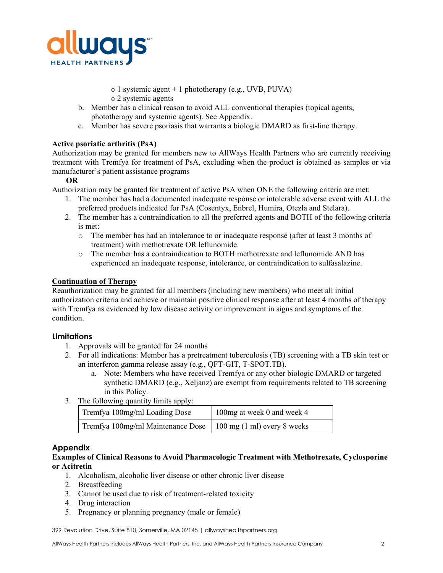

o 1 systemic agent + 1 phototherapy (e.g., UVB, PUVA)

- o 2 systemic agents
- b. Member has a clinical reason to avoid ALL conventional therapies (topical agents, phototherapy and systemic agents). See Appendix.
- c. Member has severe psoriasis that warrants a biologic DMARD as first-line therapy.

## **Active psoriatic arthritis (PsA)**

Authorization may be granted for members new to AllWays Health Partners who are currently receiving treatment with Tremfya for treatment of PsA, excluding when the product is obtained as samples or via manufacturer's patient assistance programs

#### **OR**

Authorization may be granted for treatment of active PsA when ONE the following criteria are met:

- 1. The member has had a documented inadequate response or intolerable adverse event with ALL the preferred products indicated for PsA (Cosentyx, Enbrel, Humira, Otezla and Stelara).
- 2. The member has a contraindication to all the preferred agents and BOTH of the following criteria is met:
	- o The member has had an intolerance to or inadequate response (after at least 3 months of treatment) with methotrexate OR leflunomide.
	- o The member has a contraindication to BOTH methotrexate and leflunomide AND has experienced an inadequate response, intolerance, or contraindication to sulfasalazine.

## **Continuation of Therapy**

Reauthorization may be granted for all members (including new members) who meet all initial authorization criteria and achieve or maintain positive clinical response after at least 4 months of therapy with Tremfya as evidenced by low disease activity or improvement in signs and symptoms of the condition.

# **Limitations**

- 1. Approvals will be granted for 24 months
- 2. For all indications: Member has a pretreatment tuberculosis (TB) screening with a TB skin test or an interferon gamma release assay (e.g., QFT-GIT, T-SPOT.TB).
	- a. Note: Members who have received Tremfya or any other biologic DMARD or targeted synthetic DMARD (e.g., Xeljanz) are exempt from requirements related to TB screening in this Policy.
- 3. The following quantity limits apply:

| Tremfya 100mg/ml Loading Dose                                   | 100mg at week 0 and week 4 |
|-----------------------------------------------------------------|----------------------------|
| Tremfya 100mg/ml Maintenance Dose   100 mg (1 ml) every 8 weeks |                            |

# **Appendix**

#### **Examples of Clinical Reasons to Avoid Pharmacologic Treatment with Methotrexate, Cyclosporine or Acitretin**

- 1. Alcoholism, alcoholic liver disease or other chronic liver disease
- 2. Breastfeeding
- 3. Cannot be used due to risk of treatment-related toxicity
- 4. Drug interaction
- 5. Pregnancy or planning pregnancy (male or female)

399 Revolution Drive, Suite 810, Somerville, MA 02145 | allwayshealthpartners.org